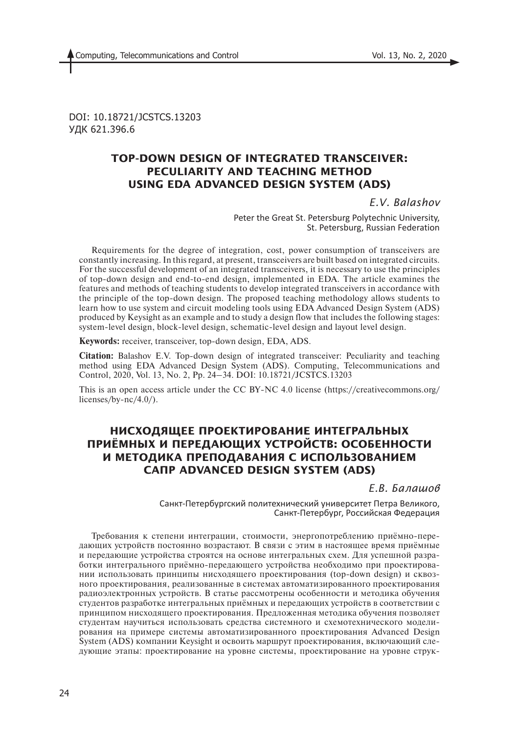DOI: 10.18721/JCSTCS.13203 УДК 621.396.6

# **TOP-DOWN DESIGN OF INTEGRATED TRANSCEIVER: PECULIARITY AND TEACHING METHOD USING EDA ADVANCED DESIGN SYSTEM (ADS)**

*E.V. Balashov*

Peter the Great St. Petersburg Polytechnic University, St. Petersburg, Russian Federation

Requirements for the degree of integration, cost, power consumption of transceivers are constantly increasing. In this regard, at present, transceivers are built based on integrated circuits. For the successful development of an integrated transceivers, it is necessary to use the principles of top-down design and end-to-end design, implemented in EDA. The article examines the features and methods of teaching students to develop integrated transceivers in accordance with the principle of the top-down design. The proposed teaching methodology allows students to learn how to use system and circuit modeling tools using EDA Advanced Design System (ADS) produced by Keysight as an example and to study a design flow that includes the following stages: system-level design, block-level design, schematic-level design and layout level design.

**Keywords:** receiver, transceiver, top-down design, EDA, ADS.

**Citation:** Balashov E.V. Top-down design of integrated transceiver: Peculiarity and teaching method using EDA Advanced Design System (ADS). Computing, Telecommunications and Control, 2020, Vol. 13, No. 2, Pp. 24–34. DOI: 10.18721/JCSTCS.13203

This is an open access article under the CC BY-NC 4.0 license (https://creativecommons.org/ licenses/by-nc/4.0/).

# **НИСХОДЯЩЕЕ ПРОЕКТИРОВАНИЕ ИНТЕГРАЛЬНЫХ ПРИЁМНЫХ И ПЕРЕДАЮЩИХ УСТРОЙСТВ: ОСОБЕННОСТИ И МЕТОДИКА ПРЕПОДАВАНИЯ С ИСПОЛЬЗОВАНИЕМ САПР ADVANCED DESIGN SYSTEM (ADS)**

*Е.В. Балашов*

Санкт-Петербургский политехнический университет Петра Великого, Санкт-Петербург, Российская Федерация

Требования к степени интеграции, стоимости, энергопотреблению приёмно-передающих устройств постоянно возрастают. В связи с этим в настоящее время приёмные и передающие устройства строятся на основе интегральных схем. Для успешной разработки интегрального приёмно-передающего устройства необходимо при проектировании использовать принципы нисходящего проектирования (top-down design) и сквозного проектирования, реализованные в системах автоматизированного проектирования радиоэлектронных устройств. В статье рассмотрены особенности и методика обучения студентов разработке интегральных приёмных и передающих устройств в соответствии с принципом нисходящего проектирования. Предложенная методика обучения позволяет студентам научиться использовать средства системного и схемотехнического моделирования на примере системы автоматизированного проектирования Advanced Design System (ADS) компании Keysight и освоить маршрут проектирования, включающий следующие этапы: проектирование на уровне системы, проектирование на уровне струк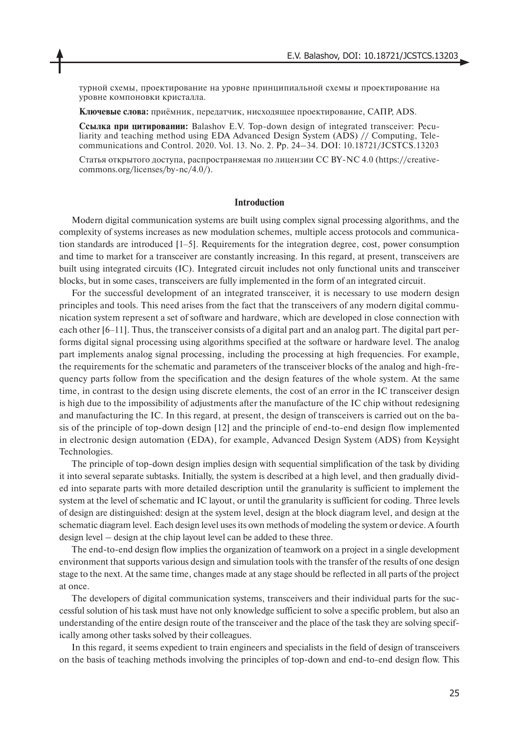турной схемы, проектирование на уровне принципиальной схемы и проектирование на уровне компоновки кристалла.

**Ключевые слова:** приёмник, передатчик, нисходящее проектирование, САПР, ADS.

**Ссылка при цитировании:** Balashov E.V. Top-down design of integrated transceiver: Peculiarity and teaching method using EDA Advanced Design System (ADS) // Computing, Telecommunications and Control. 2020. Vol. 13. No. 2. Pp. 24–34. DOI: 10.18721/JCSTCS.13203

Cтатья открытого доступа, распространяемая по лицензии CC BY-NC 4.0 (https://creativecommons.org/licenses/by-nc/4.0/).

#### **Introduction**

Modern digital communication systems are built using complex signal processing algorithms, and the complexity of systems increases as new modulation schemes, multiple access protocols and communication standards are introduced [1‒5]. Requirements for the integration degree, cost, power consumption and time to market for a transceiver are constantly increasing. In this regard, at present, transceivers are built using integrated circuits (IC). Integrated circuit includes not only functional units and transceiver blocks, but in some cases, transceivers are fully implemented in the form of an integrated circuit.

For the successful development of an integrated transceiver, it is necessary to use modern design principles and tools. This need arises from the fact that the transceivers of any modern digital communication system represent a set of software and hardware, which are developed in close connection with each other [6–11]. Thus, the transceiver consists of a digital part and an analog part. The digital part performs digital signal processing using algorithms specified at the software or hardware level. The analog part implements analog signal processing, including the processing at high frequencies. For example, the requirements for the schematic and parameters of the transceiver blocks of the analog and high-frequency parts follow from the specification and the design features of the whole system. At the same time, in contrast to the design using discrete elements, the cost of an error in the IC transceiver design is high due to the impossibility of adjustments after the manufacture of the IC chip without redesigning and manufacturing the IC. In this regard, at present, the design of transceivers is carried out on the basis of the principle of top-down design [12] and the principle of end-to-end design flow implemented in electronic design automation (EDA), for example, Advanced Design System (ADS) from Keysight Technologies.

The principle of top-down design implies design with sequential simplification of the task by dividing it into several separate subtasks. Initially, the system is described at a high level, and then gradually divided into separate parts with more detailed description until the granularity is sufficient to implement the system at the level of schematic and IC layout, or until the granularity is sufficient for coding. Three levels of design are distinguished: design at the system level, design at the block diagram level, and design at the schematic diagram level. Each design level uses its own methods of modeling the system or device. A fourth design level – design at the chip layout level can be added to these three.

The end-to-end design flow implies the organization of teamwork on a project in a single development environment that supports various design and simulation tools with the transfer of the results of one design stage to the next. At the same time, changes made at any stage should be reflected in all parts of the project at once.

The developers of digital communication systems, transceivers and their individual parts for the successful solution of his task must have not only knowledge sufficient to solve a specific problem, but also an understanding of the entire design route of the transceiver and the place of the task they are solving specifically among other tasks solved by their colleagues.

In this regard, it seems expedient to train engineers and specialists in the field of design of transceivers on the basis of teaching methods involving the principles of top-down and end-to-end design flow. This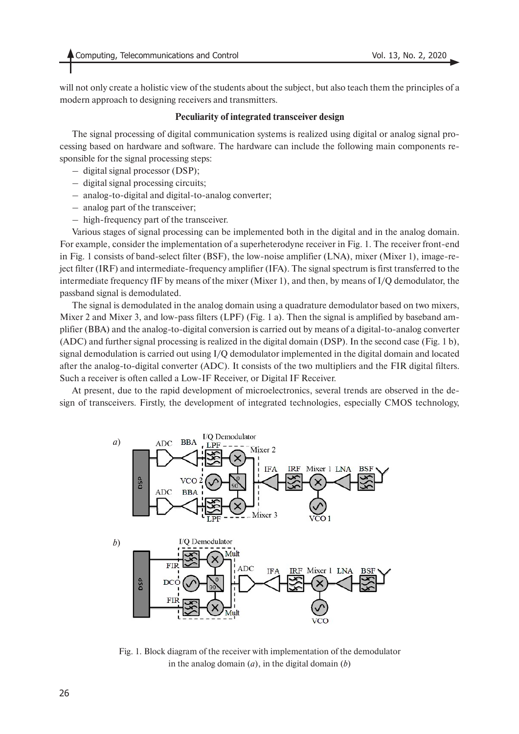will not only create a holistic view of the students about the subject, but also teach them the principles of a modern approach to designing receivers and transmitters.

### **Peculiarity of integrated transceiver design**

The signal processing of digital communication systems is realized using digital or analog signal processing based on hardware and software. The hardware can include the following main components responsible for the signal processing steps:

- digital signal processor (DSP);
- digital signal processing circuits;
- analog-to-digital and digital-to-analog converter;
- analog part of the transceiver;
- high-frequency part of the transceiver.

Various stages of signal processing can be implemented both in the digital and in the analog domain. For example, consider the implementation of a superheterodyne receiver in Fig. 1. The receiver front-end in Fig. 1 consists of band-select filter (BSF), the low-noise amplifier (LNA), mixer (Mixer 1), image-reject filter (IRF) and intermediate-frequency amplifier (IFA). The signal spectrum is first transferred to the intermediate frequency fIF by means of the mixer (Mixer 1), and then, by means of I/Q demodulator, the passband signal is demodulated.

The signal is demodulated in the analog domain using a quadrature demodulator based on two mixers, Mixer 2 and Mixer 3, and low-pass filters (LPF) (Fig. 1 a). Then the signal is amplified by baseband amplifier (BBA) and the analog-to-digital conversion is carried out by means of a digital-to-analog converter (ADC) and further signal processing is realized in the digital domain (DSP). In the second case (Fig. 1 b), signal demodulation is carried out using I/Q demodulator implemented in the digital domain and located after the analog-to-digital converter (ADC). It consists of the two multipliers and the FIR digital filters. Such a receiver is often called a Low-IF Receiver, or Digital IF Receiver.

At present, due to the rapid development of microelectronics, several trends are observed in the design of transceivers. Firstly, the development of integrated technologies, especially CMOS technology,



Fig. 1. Block diagram of the receiver with implementation of the demodulator in the analog domain (*a*), in the digital domain (*b*)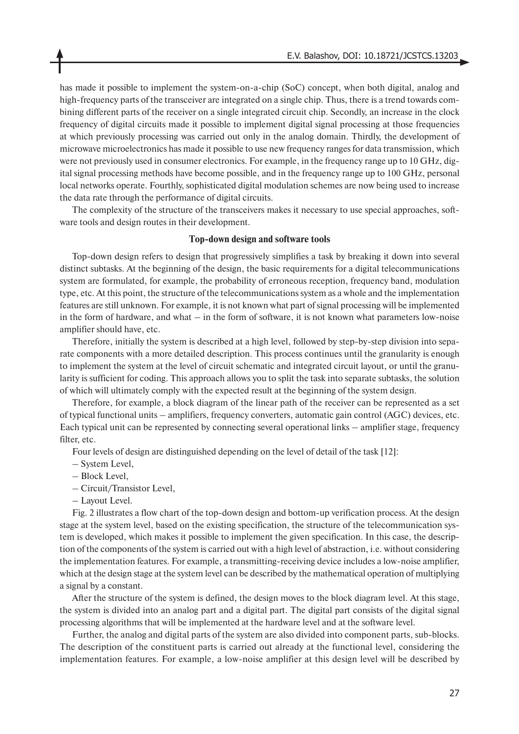has made it possible to implement the system-on-a-chip (SoC) concept, when both digital, analog and high-frequency parts of the transceiver are integrated on a single chip. Thus, there is a trend towards combining different parts of the receiver on a single integrated circuit chip. Secondly, an increase in the clock frequency of digital circuits made it possible to implement digital signal processing at those frequencies at which previously processing was carried out only in the analog domain. Thirdly, the development of microwave microelectronics has made it possible to use new frequency ranges for data transmission, which were not previously used in consumer electronics. For example, in the frequency range up to 10 GHz, digital signal processing methods have become possible, and in the frequency range up to 100 GHz, personal local networks operate. Fourthly, sophisticated digital modulation schemes are now being used to increase the data rate through the performance of digital circuits.

The complexity of the structure of the transceivers makes it necessary to use special approaches, software tools and design routes in their development.

#### **Top-down design and software tools**

Top-down design refers to design that progressively simplifies a task by breaking it down into several distinct subtasks. At the beginning of the design, the basic requirements for a digital telecommunications system are formulated, for example, the probability of erroneous reception, frequency band, modulation type, etc. At this point, the structure of the telecommunications system as a whole and the implementation features are still unknown. For example, it is not known what part of signal processing will be implemented in the form of hardware, and what – in the form of software, it is not known what parameters low-noise amplifier should have, etc.

Therefore, initially the system is described at a high level, followed by step-by-step division into separate components with a more detailed description. This process continues until the granularity is enough to implement the system at the level of circuit schematic and integrated circuit layout, or until the granularity is sufficient for coding. This approach allows you to split the task into separate subtasks, the solution of which will ultimately comply with the expected result at the beginning of the system design.

Therefore, for example, a block diagram of the linear path of the receiver can be represented as a set of typical functional units – amplifiers, frequency converters, automatic gain control (AGC) devices, etc. Each typical unit can be represented by connecting several operational links – amplifier stage, frequency filter, etc.

Four levels of design are distinguished depending on the level of detail of the task [12]:

- System Level,
- Block Level,
- Circuit/Transistor Level,
- Layout Level.

Fig. 2 illustrates a flow chart of the top-down design and bottom-up verification process. At the design stage at the system level, based on the existing specification, the structure of the telecommunication system is developed, which makes it possible to implement the given specification. In this case, the description of the components of the system is carried out with a high level of abstraction, i.e. without considering the implementation features. For example, a transmitting-receiving device includes a low-noise amplifier, which at the design stage at the system level can be described by the mathematical operation of multiplying a signal by a constant.

After the structure of the system is defined, the design moves to the block diagram level. At this stage, the system is divided into an analog part and a digital part. The digital part consists of the digital signal processing algorithms that will be implemented at the hardware level and at the software level.

Further, the analog and digital parts of the system are also divided into component parts, sub-blocks. The description of the constituent parts is carried out already at the functional level, considering the implementation features. For example, a low-noise amplifier at this design level will be described by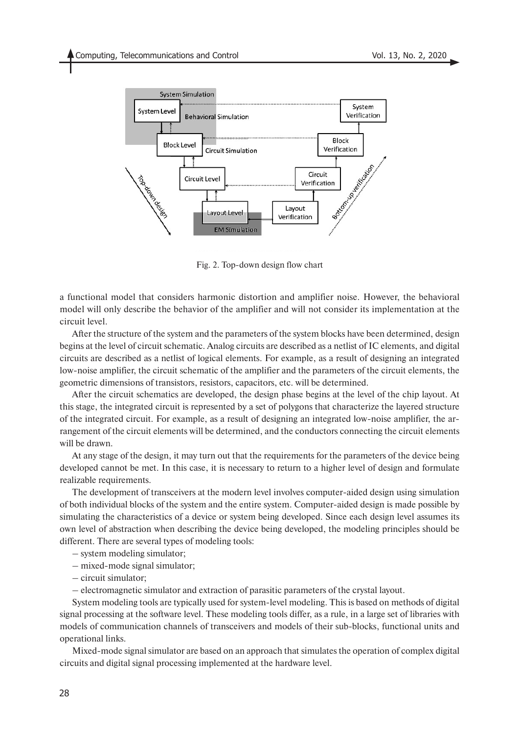

Fig. 2. Top-down design flow chart

a functional model that considers harmonic distortion and amplifier noise. However, the behavioral model will only describe the behavior of the amplifier and will not consider its implementation at the circuit level.

After the structure of the system and the parameters of the system blocks have been determined, design begins at the level of circuit schematic. Analog circuits are described as a netlist of IC elements, and digital circuits are described as a netlist of logical elements. For example, as a result of designing an integrated low-noise amplifier, the circuit schematic of the amplifier and the parameters of the circuit elements, the geometric dimensions of transistors, resistors, capacitors, etc. will be determined.

After the circuit schematics are developed, the design phase begins at the level of the chip layout. At this stage, the integrated circuit is represented by a set of polygons that characterize the layered structure of the integrated circuit. For example, as a result of designing an integrated low-noise amplifier, the arrangement of the circuit elements will be determined, and the conductors connecting the circuit elements will be drawn.

At any stage of the design, it may turn out that the requirements for the parameters of the device being developed cannot be met. In this case, it is necessary to return to a higher level of design and formulate realizable requirements.

The development of transceivers at the modern level involves computer-aided design using simulation of both individual blocks of the system and the entire system. Computer-aided design is made possible by simulating the characteristics of a device or system being developed. Since each design level assumes its own level of abstraction when describing the device being developed, the modeling principles should be different. There are several types of modeling tools:

- system modeling simulator;
- mixed-mode signal simulator;
- circuit simulator;
- electromagnetic simulator and extraction of parasitic parameters of the crystal layout.

System modeling tools are typically used for system-level modeling. This is based on methods of digital signal processing at the software level. These modeling tools differ, as a rule, in a large set of libraries with models of communication channels of transceivers and models of their sub-blocks, functional units and operational links.

Mixed-mode signal simulator are based on an approach that simulates the operation of complex digital circuits and digital signal processing implemented at the hardware level.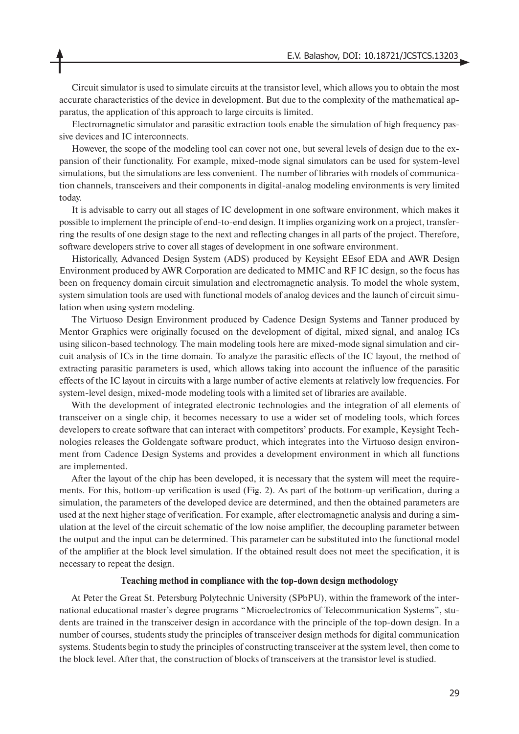Circuit simulator is used to simulate circuits at the transistor level, which allows you to obtain the most accurate characteristics of the device in development. But due to the complexity of the mathematical apparatus, the application of this approach to large circuits is limited.

Electromagnetic simulator and parasitic extraction tools enable the simulation of high frequency passive devices and IC interconnects.

However, the scope of the modeling tool can cover not one, but several levels of design due to the expansion of their functionality. For example, mixed-mode signal simulators can be used for system-level simulations, but the simulations are less convenient. The number of libraries with models of communication channels, transceivers and their components in digital-analog modeling environments is very limited today.

It is advisable to carry out all stages of IC development in one software environment, which makes it possible to implement the principle of end-to-end design. It implies organizing work on a project, transferring the results of one design stage to the next and reflecting changes in all parts of the project. Therefore, software developers strive to cover all stages of development in one software environment.

Historically, Advanced Design System (ADS) produced by Keysight EEsof EDA and AWR Design Environment produced by AWR Corporation are dedicated to MMIC and RF IC design, so the focus has been on frequency domain circuit simulation and electromagnetic analysis. To model the whole system, system simulation tools are used with functional models of analog devices and the launch of circuit simulation when using system modeling.

The Virtuoso Design Environment produced by Cadence Design Systems and Tanner produced by Mentor Graphics were originally focused on the development of digital, mixed signal, and analog ICs using silicon-based technology. The main modeling tools here are mixed-mode signal simulation and circuit analysis of ICs in the time domain. To analyze the parasitic effects of the IC layout, the method of extracting parasitic parameters is used, which allows taking into account the influence of the parasitic effects of the IC layout in circuits with a large number of active elements at relatively low frequencies. For system-level design, mixed-mode modeling tools with a limited set of libraries are available.

With the development of integrated electronic technologies and the integration of all elements of transceiver on a single chip, it becomes necessary to use a wider set of modeling tools, which forces developers to create software that can interact with competitors' products. For example, Keysight Technologies releases the Goldengate software product, which integrates into the Virtuoso design environment from Cadence Design Systems and provides a development environment in which all functions are implemented.

After the layout of the chip has been developed, it is necessary that the system will meet the requirements. For this, bottom-up verification is used (Fig. 2). As part of the bottom-up verification, during a simulation, the parameters of the developed device are determined, and then the obtained parameters are used at the next higher stage of verification. For example, after electromagnetic analysis and during a simulation at the level of the circuit schematic of the low noise amplifier, the decoupling parameter between the output and the input can be determined. This parameter can be substituted into the functional model of the amplifier at the block level simulation. If the obtained result does not meet the specification, it is necessary to repeat the design.

#### **Teaching method in compliance with the top-down design methodology**

At Peter the Great St. Petersburg Polytechnic University (SPbPU), within the framework of the international educational master's degree programs "Microelectronics of Telecommunication Systems", students are trained in the transceiver design in accordance with the principle of the top-down design. In a number of courses, students study the principles of transceiver design methods for digital communication systems. Students begin to study the principles of constructing transceiver at the system level, then come to the block level. After that, the construction of blocks of transceivers at the transistor level is studied.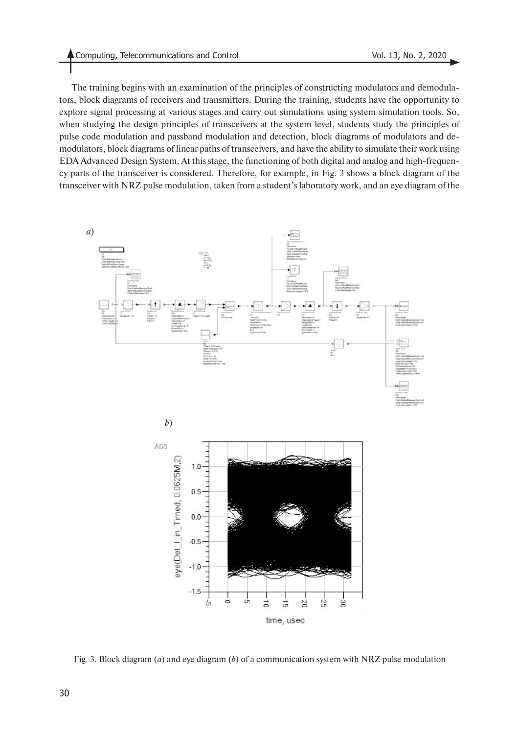The training begins with an examination of the principles of constructing modulators and demodulators, block diagrams of receivers and transmitters. During the training, students have the opportunity to explore signal processing at various stages and carry out simulations using system simulation tools. So, when studying the design principles of transceivers at the system level, students study the principles of pulse code modulation and passband modulation and detection, block diagrams of modulators and demodulators, block diagrams of linear paths of transceivers, and have the ability to simulate their work using EDA Advanced Design System. At this stage, the functioning of both digital and analog and high-frequency parts of the transceiver is considered. Therefore, for example, in Fig. 3 shows a block diagram of the transceiver with NRZ pulse modulation, taken from a student's laboratory work, and an eye diagram of the





Fig. 3. Block diagram (*a*) and eye diagram (*b*) of a communication system with NRZ pulse modulation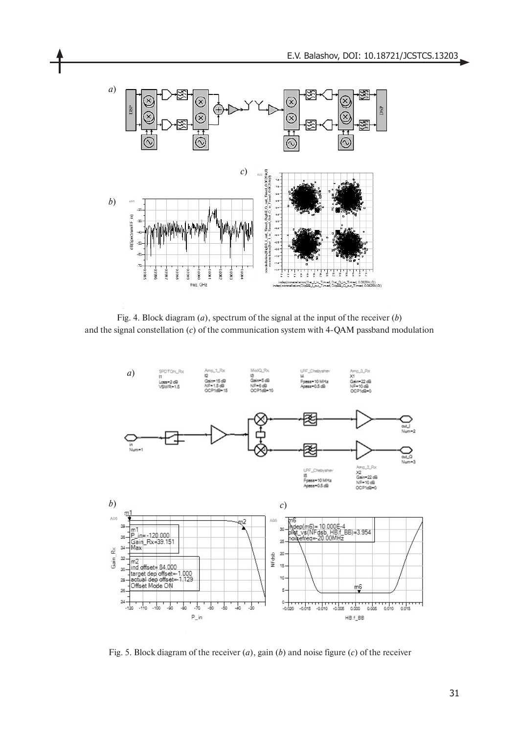

Fig. 4. Block diagram (*a*), spectrum of the signal at the input of the receiver (*b*) and the signal constellation (*c*) of the communication system with 4-QAM passband modulation



Fig. 5. Block diagram of the receiver (*a*), gain (*b*) and noise figure (*c*) of the receiver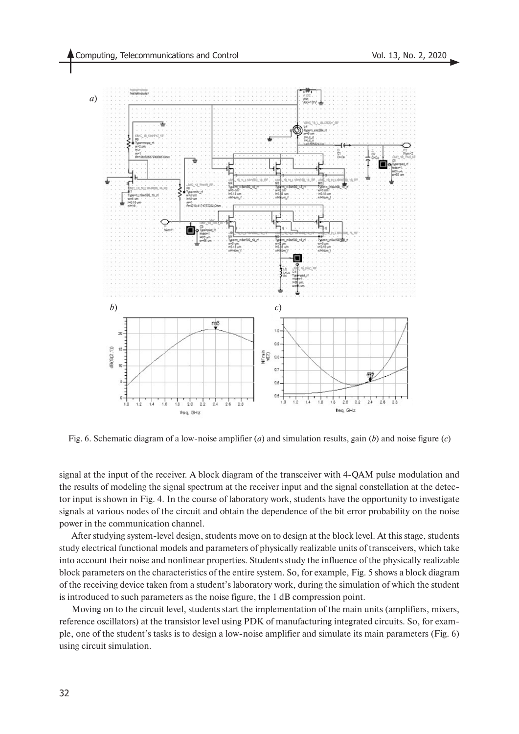

Fig. 6. Schematic diagram of a low-noise amplifier (*a*) and simulation results, gain (*b*) and noise figure (*c*)

signal at the input of the receiver. A block diagram of the transceiver with 4-QAM pulse modulation and the results of modeling the signal spectrum at the receiver input and the signal constellation at the detector input is shown in Fig. 4. In the course of laboratory work, students have the opportunity to investigate signals at various nodes of the circuit and obtain the dependence of the bit error probability on the noise power in the communication channel.

After studying system-level design, students move on to design at the block level. At this stage, students study electrical functional models and parameters of physically realizable units of transceivers, which take into account their noise and nonlinear properties. Students study the influence of the physically realizable block parameters on the characteristics of the entire system. So, for example, Fig. 5 shows a block diagram of the receiving device taken from a student's laboratory work, during the simulation of which the student is introduced to such parameters as the noise figure, the 1 dB compression point.

Moving on to the circuit level, students start the implementation of the main units (amplifiers, mixers, reference oscillators) at the transistor level using PDK of manufacturing integrated circuits. So, for example, one of the student's tasks is to design a low-noise amplifier and simulate its main parameters (Fig. 6) using circuit simulation.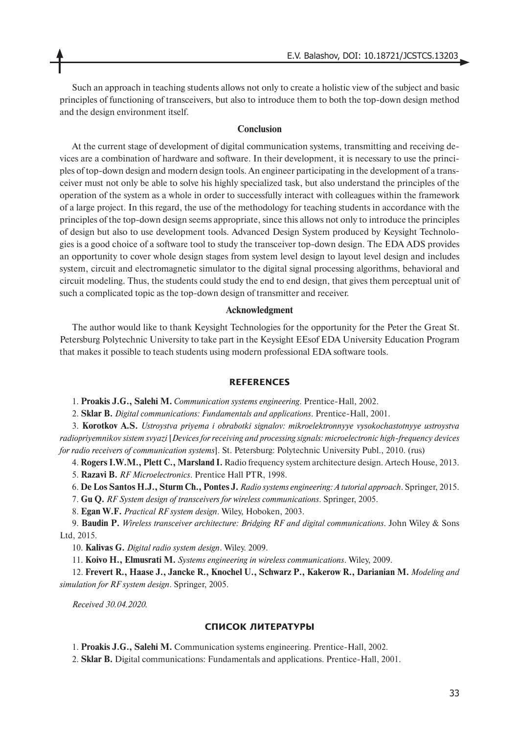Such an approach in teaching students allows not only to create a holistic view of the subject and basic principles of functioning of transceivers, but also to introduce them to both the top-down design method and the design environment itself.

#### **Conclusion**

At the current stage of development of digital communication systems, transmitting and receiving devices are a combination of hardware and software. In their development, it is necessary to use the principles of top-down design and modern design tools. An engineer participating in the development of a transceiver must not only be able to solve his highly specialized task, but also understand the principles of the operation of the system as a whole in order to successfully interact with colleagues within the framework of a large project. In this regard, the use of the methodology for teaching students in accordance with the principles of the top-down design seems appropriate, since this allows not only to introduce the principles of design but also to use development tools. Advanced Design System produced by Keysight Technologies is a good choice of a software tool to study the transceiver top-down design. The EDA ADS provides an opportunity to cover whole design stages from system level design to layout level design and includes system, circuit and electromagnetic simulator to the digital signal processing algorithms, behavioral and circuit modeling. Thus, the students could study the end to end design, that gives them perceptual unit of such a complicated topic as the top-down design of transmitter and receiver.

#### **Acknowledgment**

The author would like to thank Keysight Technologies for the opportunity for the Peter the Great St. Petersburg Polytechnic University to take part in the Keysight EEsof EDA University Education Program that makes it possible to teach students using modern professional EDA software tools.

#### **REFERENCES**

1. **Proakis J.G., Salehi M.** *Communication systems engineering*. Prentice-Hall, 2002.

2. **Sklar B.** *Digital communications: Fundamentals and applications*. Prentice-Hall, 2001.

3. **Korotkov A.S.** *Ustroystva priyema i obrabotki signalov: mikroelektronnyye vysokochastotnyye ustroystva radiopriyemnikov sistem svyazi* [*Devices for receiving and processing signals: microelectronic high-frequency devices for radio receivers of communication systems*]. St. Petersburg: Polytechnic University Publ., 2010. (rus)

4. **Rogers I.W.M., Plett C., Marsland I.** Radio frequency system architecture design. Artech House, 2013.

5. **Razavi B.** *RF Microelectronics*. Prentice Hall PTR, 1998.

6. **De Los Santos H.J., Sturm Ch., Pontes J.** *Radio systems engineering: A tutorial approach*. Springer, 2015.

7. **Gu Q.** *RF System design of transceivers for wireless communications*. Springer, 2005.

8. **Egan W.F.** *Practical RF system design*. Wiley, Hoboken, 2003.

9. **Baudin P.** *Wireless transceiver architecture: Bridging RF and digital communications*. John Wiley & Sons Ltd, 2015.

10. **Kalivas G.** *Digital radio system design*. Wiley. 2009.

11. **Koivo H., Elmusrati M.** *Systems engineering in wireless communications*. Wiley, 2009.

12. **Frevert R., Haase J., Jancke R., Knochel U., Schwarz P., Kakerow R., Darianian M.** *Modeling and simulation for RF system design*. Springer, 2005.

*Received 30.04.2020.*

### **СПИСОК ЛИТЕРАТУРЫ**

1. **Proakis J.G., Salehi M.** Communication systems engineering. Prentice-Hall, 2002.

2. **Sklar B.** Digital communications: Fundamentals and applications. Prentice-Hall, 2001.